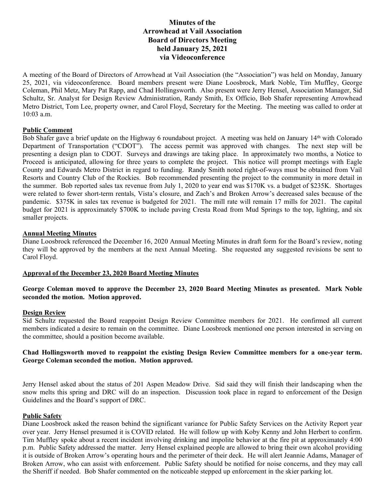# **Minutes of the Arrowhead at Vail Association Board of Directors Meeting held January 25, 2021 via Videoconference**

A meeting of the Board of Directors of Arrowhead at Vail Association (the "Association") was held on Monday, January 25, 2021, via videoconference. Board members present were Diane Loosbrock, Mark Noble, Tim Muffley, George Coleman, Phil Metz, Mary Pat Rapp, and Chad Hollingsworth. Also present were Jerry Hensel, Association Manager, Sid Schultz, Sr. Analyst for Design Review Administration, Randy Smith, Ex Officio, Bob Shafer representing Arrowhead Metro District, Tom Lee, property owner, and Carol Floyd, Secretary for the Meeting. The meeting was called to order at 10:03 a.m.

### **Public Comment**

Bob Shafer gave a brief update on the Highway 6 roundabout project. A meeting was held on January 14<sup>th</sup> with Colorado Department of Transportation ("CDOT"). The access permit was approved with changes. The next step will be presenting a design plan to CDOT. Surveys and drawings are taking place. In approximately two months, a Notice to Proceed is anticipated, allowing for three years to complete the project. This notice will prompt meetings with Eagle County and Edwards Metro District in regard to funding. Randy Smith noted right-of-ways must be obtained from Vail Resorts and Country Club of the Rockies. Bob recommended presenting the project to the community in more detail in the summer. Bob reported sales tax revenue from July 1, 2020 to year end was \$170K vs. a budget of \$235K. Shortages were related to fewer short-term rentals, Vista's closure, and Zach's and Broken Arrow's decreased sales because of the pandemic. \$375K in sales tax revenue is budgeted for 2021. The mill rate will remain 17 mills for 2021. The capital budget for 2021 is approximately \$700K to include paving Cresta Road from Mud Springs to the top, lighting, and six smaller projects.

#### **Annual Meeting Minutes**

Diane Loosbrock referenced the December 16, 2020 Annual Meeting Minutes in draft form for the Board's review, noting they will be approved by the members at the next Annual Meeting. She requested any suggested revisions be sent to Carol Floyd.

### **Approval of the December 23, 2020 Board Meeting Minutes**

### **George Coleman moved to approve the December 23, 2020 Board Meeting Minutes as presented. Mark Noble seconded the motion. Motion approved.**

### **Design Review**

Sid Schultz requested the Board reappoint Design Review Committee members for 2021. He confirmed all current members indicated a desire to remain on the committee. Diane Loosbrock mentioned one person interested in serving on the committee, should a position become available.

### **Chad Hollingsworth moved to reappoint the existing Design Review Committee members for a one-year term. George Coleman seconded the motion. Motion approved.**

Jerry Hensel asked about the status of 201 Aspen Meadow Drive. Sid said they will finish their landscaping when the snow melts this spring and DRC will do an inspection. Discussion took place in regard to enforcement of the Design Guidelines and the Board's support of DRC.

### **Public Safety**

Diane Loosbrock asked the reason behind the significant variance for Public Safety Services on the Activity Report year over year. Jerry Hensel presumed it is COVID related. He will follow up with Koby Kenny and John Herbert to confirm. Tim Muffley spoke about a recent incident involving drinking and impolite behavior at the fire pit at approximately 4:00 p.m. Public Safety addressed the matter. Jerry Hensel explained people are allowed to bring their own alcohol providing it is outside of Broken Arrow's operating hours and the perimeter of their deck. He will alert Jeannie Adams, Manager of Broken Arrow, who can assist with enforcement. Public Safety should be notified for noise concerns, and they may call the Sheriff if needed. Bob Shafer commented on the noticeable stepped up enforcement in the skier parking lot.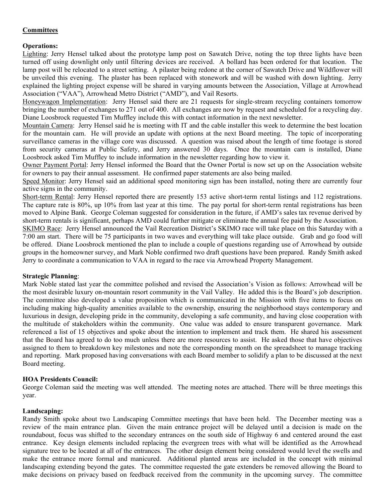## **Committees**

## **Operations:**

Lighting: Jerry Hensel talked about the prototype lamp post on Sawatch Drive, noting the top three lights have been turned off using downlight only until filtering devices are received. A bollard has been ordered for that location. The lamp post will be relocated to a street setting. A pilaster being redone at the corner of Sawatch Drive and Wildflower will be unveiled this evening. The plaster has been replaced with stonework and will be washed with down lighting. Jerry explained the lighting project expense will be shared in varying amounts between the Association, Village at Arrowhead Association ("VAA"), Arrowhead Metro District ("AMD"), and Vail Resorts.

Honeywagon Implementation: Jerry Hensel said there are 21 requests for single-stream recycling containers tomorrow bringing the number of exchanges to 271 out of 400. All exchanges are now by request and scheduled for a recycling day. Diane Loosbrock requested Tim Muffley include this with contact information in the next newsletter.

Mountain Camera: Jerry Hensel said he is meeting with IT and the cable installer this week to determine the best location for the mountain cam. He will provide an update with options at the next Board meeting. The topic of incorporating surveillance cameras in the village core was discussed. A question was raised about the length of time footage is stored from security cameras at Public Safety, and Jerry answered 30 days. Once the mountain cam is installed, Diane Loosbrock asked Tim Muffley to include information in the newsletter regarding how to view it.

Owner Payment Portal: Jerry Hensel informed the Board that the Owner Portal is now set up on the Association website for owners to pay their annual assessment. He confirmed paper statements are also being mailed.

Speed Monitor: Jerry Hensel said an additional speed monitoring sign has been installed, noting there are currently four active signs in the community.

Short-term Rental: Jerry Hensel reported there are presently 153 active short-term rental listings and 112 registrations. The capture rate is 80%, up 10% from last year at this time. The pay portal for short-term rental registrations has been moved to Alpine Bank. George Coleman suggested for consideration in the future, if AMD's sales tax revenue derived by short-term rentals is significant, perhaps AMD could further mitigate or eliminate the annual fee paid by the Association.

SKIMO Race: Jerry Hensel announced the Vail Recreation District's SKIMO race will take place on this Saturday with a 7:00 am start. There will be 75 participants in two waves and everything will take place outside. Grab and go food will be offered. Diane Loosbrock mentioned the plan to include a couple of questions regarding use of Arrowhead by outside groups in the homeowner survey, and Mark Noble confirmed two draft questions have been prepared. Randy Smith asked Jerry to coordinate a communication to VAA in regard to the race via Arrowhead Property Management.

### **Strategic Planning**:

Mark Noble stated last year the committee polished and revised the Association's Vision as follows: Arrowhead will be the most desirable luxury on-mountain resort community in the Vail Valley. He added this is the Board's job description. The committee also developed a value proposition which is communicated in the Mission with five items to focus on including making high-quality amenities available to the ownership, ensuring the neighborhood stays contemporary and luxurious in design, developing pride in the community, developing a safe community, and having close cooperation with the multitude of stakeholders within the community. One value was added to ensure transparent governance. Mark referenced a list of 15 objectives and spoke about the intention to implement and track them. He shared his assessment that the Board has agreed to do too much unless there are more resources to assist. He asked those that have objectives assigned to them to breakdown key milestones and note the corresponding month on the spreadsheet to manage tracking and reporting. Mark proposed having conversations with each Board member to solidify a plan to be discussed at the next Board meeting.

### **HOA Presidents Council:**

George Coleman said the meeting was well attended. The meeting notes are attached. There will be three meetings this year.

### **Landscaping:**

Randy Smith spoke about two Landscaping Committee meetings that have been held. The December meeting was a review of the main entrance plan. Given the main entrance project will be delayed until a decision is made on the roundabout, focus was shifted to the secondary entrances on the south side of Highway 6 and centered around the east entrance. Key design elements included replacing the evergreen trees with what will be identified as the Arrowhead signature tree to be located at all of the entrances. The other design element being considered would level the swells and make the entrance more formal and manicured. Additional planted areas are included in the concept with minimal landscaping extending beyond the gates. The committee requested the gate extenders be removed allowing the Board to make decisions on privacy based on feedback received from the community in the upcoming survey. The committee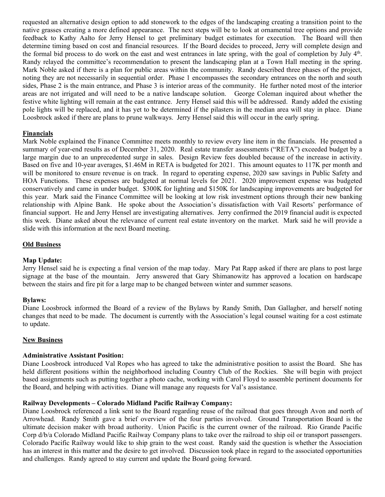requested an alternative design option to add stonework to the edges of the landscaping creating a transition point to the native grasses creating a more defined appearance. The next steps will be to look at ornamental tree options and provide feedback to Kathy Aalto for Jerry Hensel to get preliminary budget estimates for execution. The Board will then determine timing based on cost and financial resources. If the Board decides to proceed, Jerry will complete design and the formal bid process to do work on the east and west entrances in late spring, with the goal of completion by July 4th. Randy relayed the committee's recommendation to present the landscaping plan at a Town Hall meeting in the spring. Mark Noble asked if there is a plan for public areas within the community. Randy described three phases of the project, noting they are not necessarily in sequential order. Phase 1 encompasses the secondary entrances on the north and south sides, Phase 2 is the main entrance, and Phase 3 is interior areas of the community. He further noted most of the interior areas are not irrigated and will need to be a native landscape solution. George Coleman inquired about whether the festive white lighting will remain at the east entrance. Jerry Hensel said this will be addressed. Randy added the existing pole lights will be replaced, and it has yet to be determined if the pilasters in the median area will stay in place. Diane Loosbrock asked if there are plans to prune walkways. Jerry Hensel said this will occur in the early spring.

### **Financials**

Mark Noble explained the Finance Committee meets monthly to review every line item in the financials. He presented a summary of year-end results as of December 31, 2020. Real estate transfer assessments ("RETA") exceeded budget by a large margin due to an unprecedented surge in sales. Design Review fees doubled because of the increase in activity. Based on five and 10-year averages, \$1.46M in RETA is budgeted for 2021. This amount equates to 117K per month and will be monitored to ensure revenue is on track. In regard to operating expense, 2020 saw savings in Public Safety and HOA Functions. These expenses are budgeted at normal levels for 2021. 2020 improvement expense was budgeted conservatively and came in under budget. \$300K for lighting and \$150K for landscaping improvements are budgeted for this year. Mark said the Finance Committee will be looking at low risk investment options through their new banking relationship with Alpine Bank. He spoke about the Association's dissatisfaction with Vail Resorts' performance of financial support. He and Jerry Hensel are investigating alternatives. Jerry confirmed the 2019 financial audit is expected this week. Diane asked about the relevance of current real estate inventory on the market. Mark said he will provide a slide with this information at the next Board meeting.

#### **Old Business**

#### **Map Update:**

Jerry Hensel said he is expecting a final version of the map today. Mary Pat Rapp asked if there are plans to post large signage at the base of the mountain. Jerry answered that Gary Shimanowitz has approved a location on hardscape between the stairs and fire pit for a large map to be changed between winter and summer seasons.

#### **Bylaws:**

Diane Loosbrock informed the Board of a review of the Bylaws by Randy Smith, Dan Gallagher, and herself noting changes that need to be made. The document is currently with the Association's legal counsel waiting for a cost estimate to update.

### **New Business**

#### **Administrative Assistant Position:**

Diane Loosbrock introduced Val Ropes who has agreed to take the administrative position to assist the Board. She has held different positions within the neighborhood including Country Club of the Rockies. She will begin with project based assignments such as putting together a photo cache, working with Carol Floyd to assemble pertinent documents for the Board, and helping with activities. Diane will manage any requests for Val's assistance.

### **Railway Developments – Colorado Midland Pacific Railway Company:**

Diane Loosbrock referenced a link sent to the Board regarding reuse of the railroad that goes through Avon and north of Arrowhead. Randy Smith gave a brief overview of the four parties involved. Ground Transportation Board is the ultimate decision maker with broad authority. Union Pacific is the current owner of the railroad. Rio Grande Pacific Corp d/b/a Colorado Midland Pacific Railway Company plans to take over the railroad to ship oil or transport passengers. Colorado Pacific Railway would like to ship grain to the west coast. Randy said the question is whether the Association has an interest in this matter and the desire to get involved. Discussion took place in regard to the associated opportunities and challenges. Randy agreed to stay current and update the Board going forward.